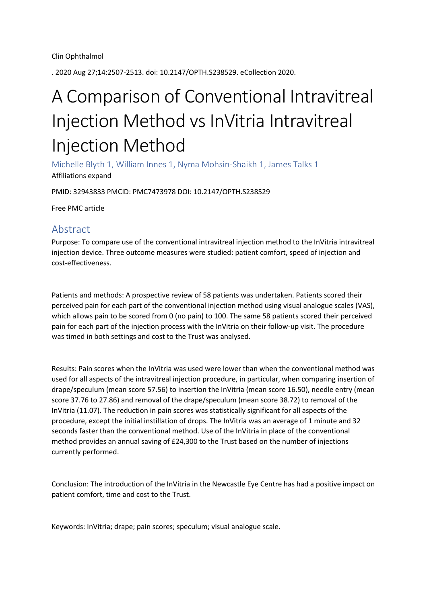. 2020 Aug 27;14:2507-2513. doi: 10.2147/OPTH.S238529. eCollection 2020.

## A Comparison of Conventional Intravitreal Injection Method vs InVitria Intravitreal Injection Method

Michelle Blyth 1, William Innes 1, Nyma Mohsin-Shaikh 1, James Talks 1 Affiliations expand

PMID: 32943833 PMCID: PMC7473978 DOI: 10.2147/OPTH.S238529

Free PMC article

## Abstract

Purpose: To compare use of the conventional intravitreal injection method to the InVitria intravitreal injection device. Three outcome measures were studied: patient comfort, speed of injection and cost-effectiveness.

Patients and methods: A prospective review of 58 patients was undertaken. Patients scored their perceived pain for each part of the conventional injection method using visual analogue scales (VAS), which allows pain to be scored from 0 (no pain) to 100. The same 58 patients scored their perceived pain for each part of the injection process with the InVitria on their follow-up visit. The procedure was timed in both settings and cost to the Trust was analysed.

Results: Pain scores when the InVitria was used were lower than when the conventional method was used for all aspects of the intravitreal injection procedure, in particular, when comparing insertion of drape/speculum (mean score 57.56) to insertion the InVitria (mean score 16.50), needle entry (mean score 37.76 to 27.86) and removal of the drape/speculum (mean score 38.72) to removal of the InVitria (11.07). The reduction in pain scores was statistically significant for all aspects of the procedure, except the initial instillation of drops. The InVitria was an average of 1 minute and 32 seconds faster than the conventional method. Use of the InVitria in place of the conventional method provides an annual saving of £24,300 to the Trust based on the number of injections currently performed.

Conclusion: The introduction of the InVitria in the Newcastle Eye Centre has had a positive impact on patient comfort, time and cost to the Trust.

Keywords: InVitria; drape; pain scores; speculum; visual analogue scale.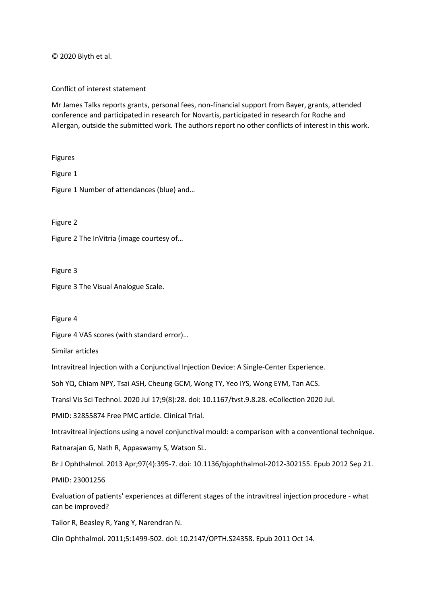© 2020 Blyth et al.

Conflict of interest statement

Mr James Talks reports grants, personal fees, non-financial support from Bayer, grants, attended conference and participated in research for Novartis, participated in research for Roche and Allergan, outside the submitted work. The authors report no other conflicts of interest in this work.

Figures

Figure 1

Figure 1 Number of attendances (blue) and…

Figure 2

Figure 2 The InVitria (image courtesy of…

Figure 3

Figure 3 The Visual Analogue Scale.

Figure 4

Figure 4 VAS scores (with standard error)…

Similar articles

Intravitreal Injection with a Conjunctival Injection Device: A Single-Center Experience.

Soh YQ, Chiam NPY, Tsai ASH, Cheung GCM, Wong TY, Yeo IYS, Wong EYM, Tan ACS.

Transl Vis Sci Technol. 2020 Jul 17;9(8):28. doi: 10.1167/tvst.9.8.28. eCollection 2020 Jul.

PMID: 32855874 Free PMC article. Clinical Trial.

Intravitreal injections using a novel conjunctival mould: a comparison with a conventional technique.

Ratnarajan G, Nath R, Appaswamy S, Watson SL.

Br J Ophthalmol. 2013 Apr;97(4):395-7. doi: 10.1136/bjophthalmol-2012-302155. Epub 2012 Sep 21.

PMID: 23001256

Evaluation of patients' experiences at different stages of the intravitreal injection procedure - what can be improved?

Tailor R, Beasley R, Yang Y, Narendran N.

Clin Ophthalmol. 2011;5:1499-502. doi: 10.2147/OPTH.S24358. Epub 2011 Oct 14.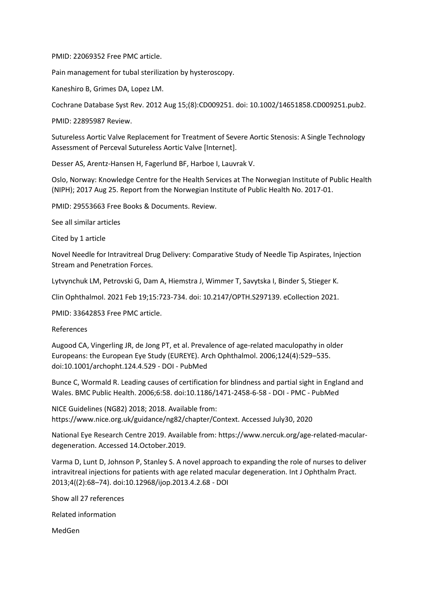## PMID: 22069352 Free PMC article.

Pain management for tubal sterilization by hysteroscopy.

Kaneshiro B, Grimes DA, Lopez LM.

Cochrane Database Syst Rev. 2012 Aug 15;(8):CD009251. doi: 10.1002/14651858.CD009251.pub2.

PMID: 22895987 Review.

Sutureless Aortic Valve Replacement for Treatment of Severe Aortic Stenosis: A Single Technology Assessment of Perceval Sutureless Aortic Valve [Internet].

Desser AS, Arentz-Hansen H, Fagerlund BF, Harboe I, Lauvrak V.

Oslo, Norway: Knowledge Centre for the Health Services at The Norwegian Institute of Public Health (NIPH); 2017 Aug 25. Report from the Norwegian Institute of Public Health No. 2017-01.

PMID: 29553663 Free Books & Documents. Review.

See all similar articles

Cited by 1 article

Novel Needle for Intravitreal Drug Delivery: Comparative Study of Needle Tip Aspirates, Injection Stream and Penetration Forces.

Lytvynchuk LM, Petrovski G, Dam A, Hiemstra J, Wimmer T, Savytska I, Binder S, Stieger K.

Clin Ophthalmol. 2021 Feb 19;15:723-734. doi: 10.2147/OPTH.S297139. eCollection 2021.

PMID: 33642853 Free PMC article.

References

Augood CA, Vingerling JR, de Jong PT, et al. Prevalence of age-related maculopathy in older Europeans: the European Eye Study (EUREYE). Arch Ophthalmol. 2006;124(4):529–535. doi:10.1001/archopht.124.4.529 - DOI - PubMed

Bunce C, Wormald R. Leading causes of certification for blindness and partial sight in England and Wales. BMC Public Health. 2006;6:58. doi:10.1186/1471-2458-6-58 - DOI - PMC - PubMed

NICE Guidelines (NG82) 2018; 2018. Available from: https://www.nice.org.uk/guidance/ng82/chapter/Context. Accessed July30, 2020

National Eye Research Centre 2019. Available from: https://www.nercuk.org/age-related-maculardegeneration. Accessed 14.October.2019.

Varma D, Lunt D, Johnson P, Stanley S. A novel approach to expanding the role of nurses to deliver intravitreal injections for patients with age related macular degeneration. Int J Ophthalm Pract. 2013;4((2):68–74). doi:10.12968/ijop.2013.4.2.68 - DOI

Show all 27 references

Related information

MedGen